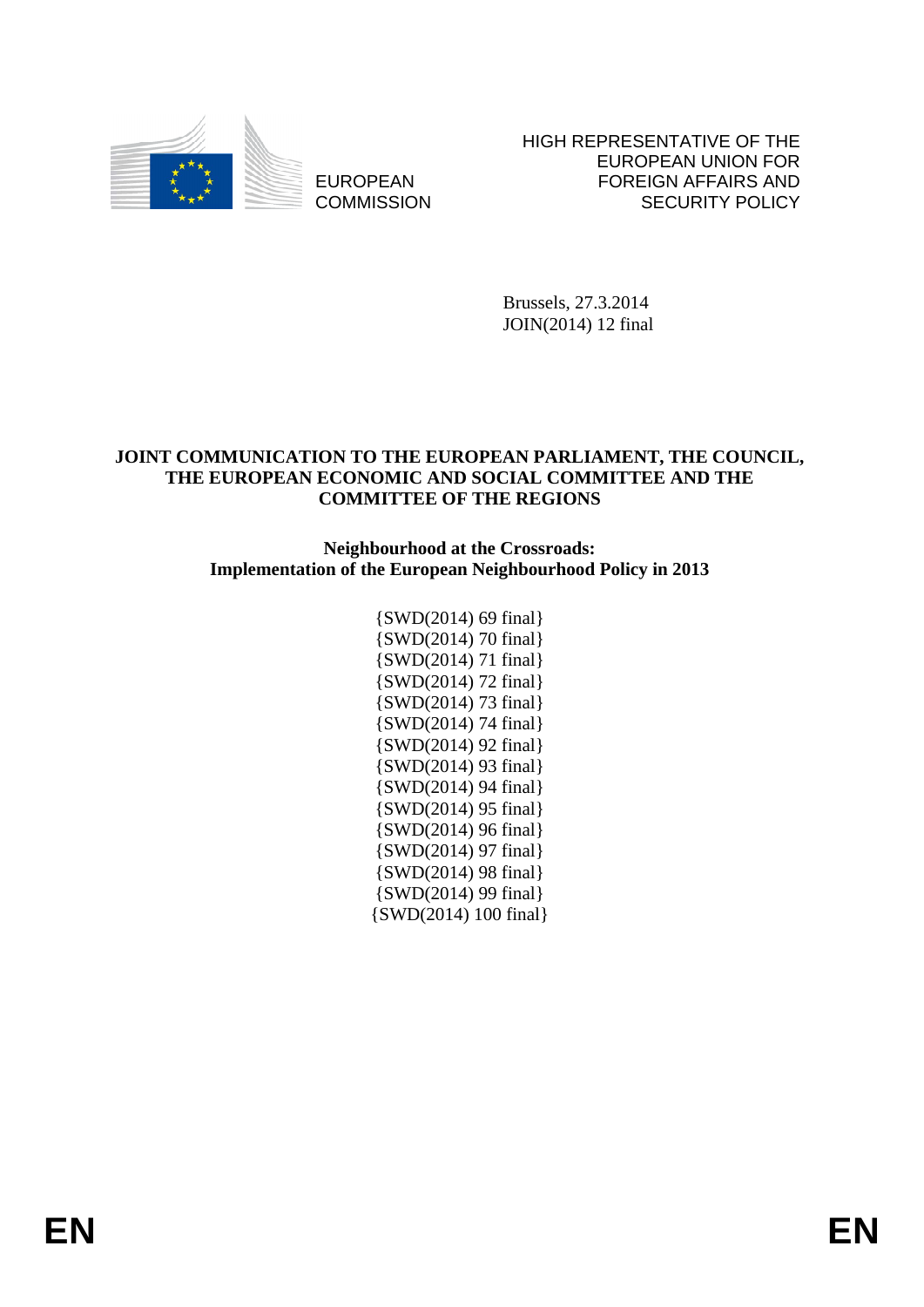

EUROPEAN **COMMISSION**  HIGH REPRESENTATIVE OF THE EUROPEAN UNION FOR FOREIGN AFFAIRS AND SECURITY POLICY

Brussels, 27.3.2014 JOIN(2014) 12 final

### **JOINT COMMUNICATION TO THE EUROPEAN PARLIAMENT, THE COUNCIL, THE EUROPEAN ECONOMIC AND SOCIAL COMMITTEE AND THE COMMITTEE OF THE REGIONS**

**Neighbourhood at the Crossroads: Implementation of the European Neighbourhood Policy in 2013** 

> {SWD(2014) 69 final} {SWD(2014) 70 final} {SWD(2014) 71 final} {SWD(2014) 72 final} {SWD(2014) 73 final} {SWD(2014) 74 final} {SWD(2014) 92 final} {SWD(2014) 93 final} {SWD(2014) 94 final} {SWD(2014) 95 final} {SWD(2014) 96 final} {SWD(2014) 97 final} {SWD(2014) 98 final} {SWD(2014) 99 final} {SWD(2014) 100 final}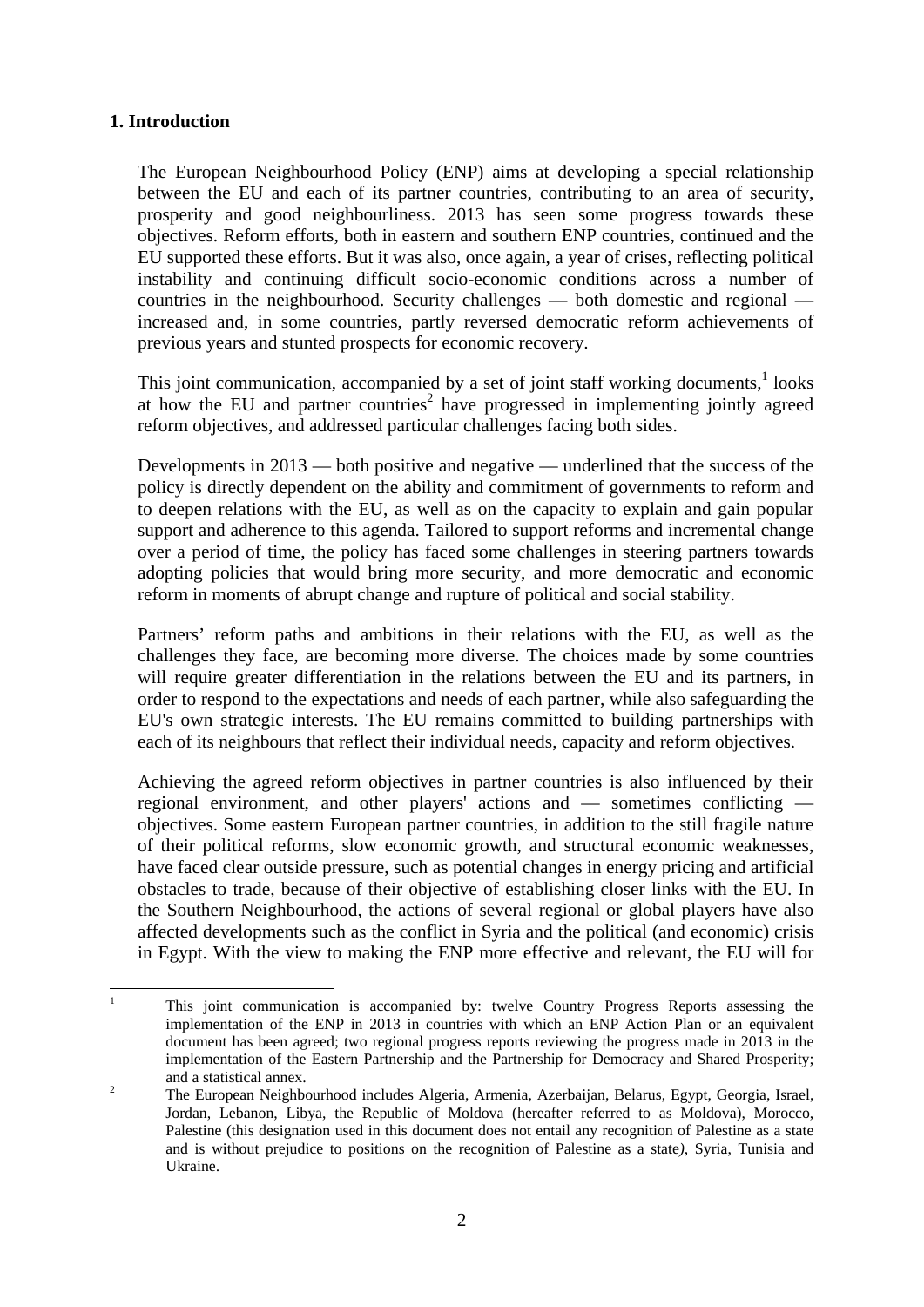### **1. Introduction**

The European Neighbourhood Policy (ENP) aims at developing a special relationship between the EU and each of its partner countries, contributing to an area of security, prosperity and good neighbourliness. 2013 has seen some progress towards these objectives. Reform efforts, both in eastern and southern ENP countries, continued and the EU supported these efforts. But it was also, once again, a year of crises, reflecting political instability and continuing difficult socio-economic conditions across a number of countries in the neighbourhood. Security challenges — both domestic and regional increased and, in some countries, partly reversed democratic reform achievements of previous years and stunted prospects for economic recovery.

This joint communication, accompanied by a set of joint staff working documents, $<sup>1</sup>$  looks</sup> at how the EU and partner countries<sup>2</sup> have progressed in implementing jointly agreed reform objectives, and addressed particular challenges facing both sides.

Developments in 2013 — both positive and negative — underlined that the success of the policy is directly dependent on the ability and commitment of governments to reform and to deepen relations with the EU, as well as on the capacity to explain and gain popular support and adherence to this agenda. Tailored to support reforms and incremental change over a period of time, the policy has faced some challenges in steering partners towards adopting policies that would bring more security, and more democratic and economic reform in moments of abrupt change and rupture of political and social stability.

Partners' reform paths and ambitions in their relations with the EU, as well as the challenges they face, are becoming more diverse. The choices made by some countries will require greater differentiation in the relations between the EU and its partners, in order to respond to the expectations and needs of each partner, while also safeguarding the EU's own strategic interests. The EU remains committed to building partnerships with each of its neighbours that reflect their individual needs, capacity and reform objectives.

Achieving the agreed reform objectives in partner countries is also influenced by their regional environment, and other players' actions and — sometimes conflicting objectives. Some eastern European partner countries, in addition to the still fragile nature of their political reforms, slow economic growth, and structural economic weaknesses, have faced clear outside pressure, such as potential changes in energy pricing and artificial obstacles to trade, because of their objective of establishing closer links with the EU. In the Southern Neighbourhood, the actions of several regional or global players have also affected developments such as the conflict in Syria and the political (and economic) crisis in Egypt. With the view to making the ENP more effective and relevant, the EU will for

 $\frac{1}{1}$  This joint communication is accompanied by: twelve Country Progress Reports assessing the implementation of the ENP in 2013 in countries with which an ENP Action Plan or an equivalent document has been agreed; two regional progress reports reviewing the progress made in 2013 in the implementation of the Eastern Partnership and the Partnership for Democracy and Shared Prosperity; and a statistical annex.

The European Neighbourhood includes Algeria, Armenia, Azerbaijan, Belarus, Egypt, Georgia, Israel, Jordan, Lebanon, Libya, the Republic of Moldova (hereafter referred to as Moldova), Morocco, Palestine (this designation used in this document does not entail any recognition of Palestine as a state and is without prejudice to positions on the recognition of Palestine as a state*),* Syria, Tunisia and Ukraine.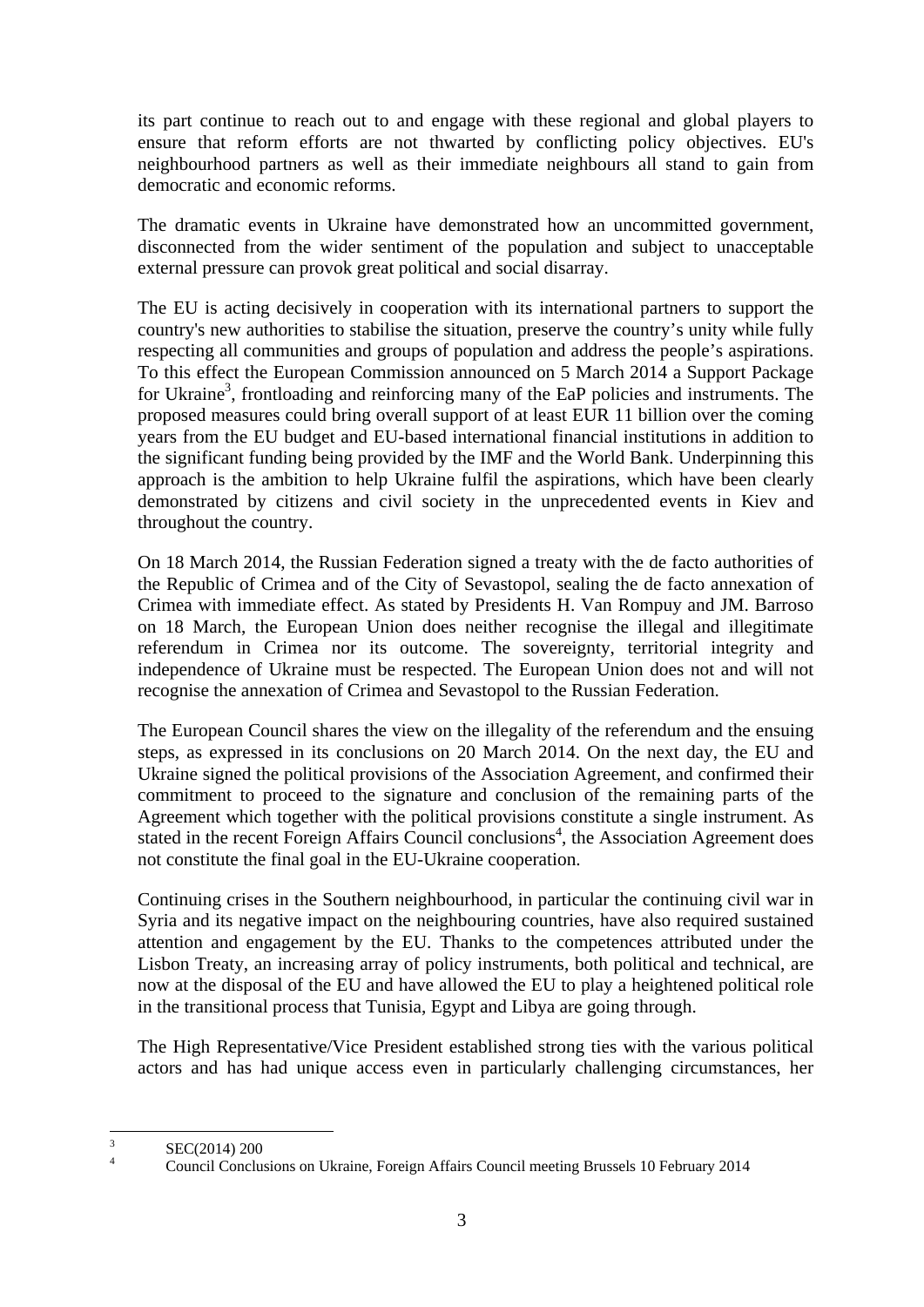its part continue to reach out to and engage with these regional and global players to ensure that reform efforts are not thwarted by conflicting policy objectives. EU's neighbourhood partners as well as their immediate neighbours all stand to gain from democratic and economic reforms.

The dramatic events in Ukraine have demonstrated how an uncommitted government, disconnected from the wider sentiment of the population and subject to unacceptable external pressure can provok great political and social disarray.

The EU is acting decisively in cooperation with its international partners to support the country's new authorities to stabilise the situation, preserve the country's unity while fully respecting all communities and groups of population and address the people's aspirations. To this effect the European Commission announced on 5 March 2014 a Support Package for Ukraine<sup>3</sup>, frontloading and reinforcing many of the EaP policies and instruments. The proposed measures could bring overall support of at least EUR 11 billion over the coming years from the EU budget and EU-based international financial institutions in addition to the significant funding being provided by the IMF and the World Bank. Underpinning this approach is the ambition to help Ukraine fulfil the aspirations, which have been clearly demonstrated by citizens and civil society in the unprecedented events in Kiev and throughout the country.

On 18 March 2014, the Russian Federation signed a treaty with the de facto authorities of the Republic of Crimea and of the City of Sevastopol, sealing the de facto annexation of Crimea with immediate effect. As stated by Presidents H. Van Rompuy and JM. Barroso on 18 March, the European Union does neither recognise the illegal and illegitimate referendum in Crimea nor its outcome. The sovereignty, territorial integrity and independence of Ukraine must be respected. The European Union does not and will not recognise the annexation of Crimea and Sevastopol to the Russian Federation.

The European Council shares the view on the illegality of the referendum and the ensuing steps, as expressed in its conclusions on 20 March 2014. On the next day, the EU and Ukraine signed the political provisions of the Association Agreement, and confirmed their commitment to proceed to the signature and conclusion of the remaining parts of the Agreement which together with the political provisions constitute a single instrument. As stated in the recent Foreign Affairs Council conclusions<sup>4</sup>, the Association Agreement does not constitute the final goal in the EU-Ukraine cooperation.

Continuing crises in the Southern neighbourhood, in particular the continuing civil war in Syria and its negative impact on the neighbouring countries, have also required sustained attention and engagement by the EU. Thanks to the competences attributed under the Lisbon Treaty, an increasing array of policy instruments, both political and technical, are now at the disposal of the EU and have allowed the EU to play a heightened political role in the transitional process that Tunisia, Egypt and Libya are going through.

The High Representative/Vice President established strong ties with the various political actors and has had unique access even in particularly challenging circumstances, her

 $\frac{1}{3}$ SEC(2014) 200

<sup>4</sup> Council Conclusions on Ukraine, Foreign Affairs Council meeting Brussels 10 February 2014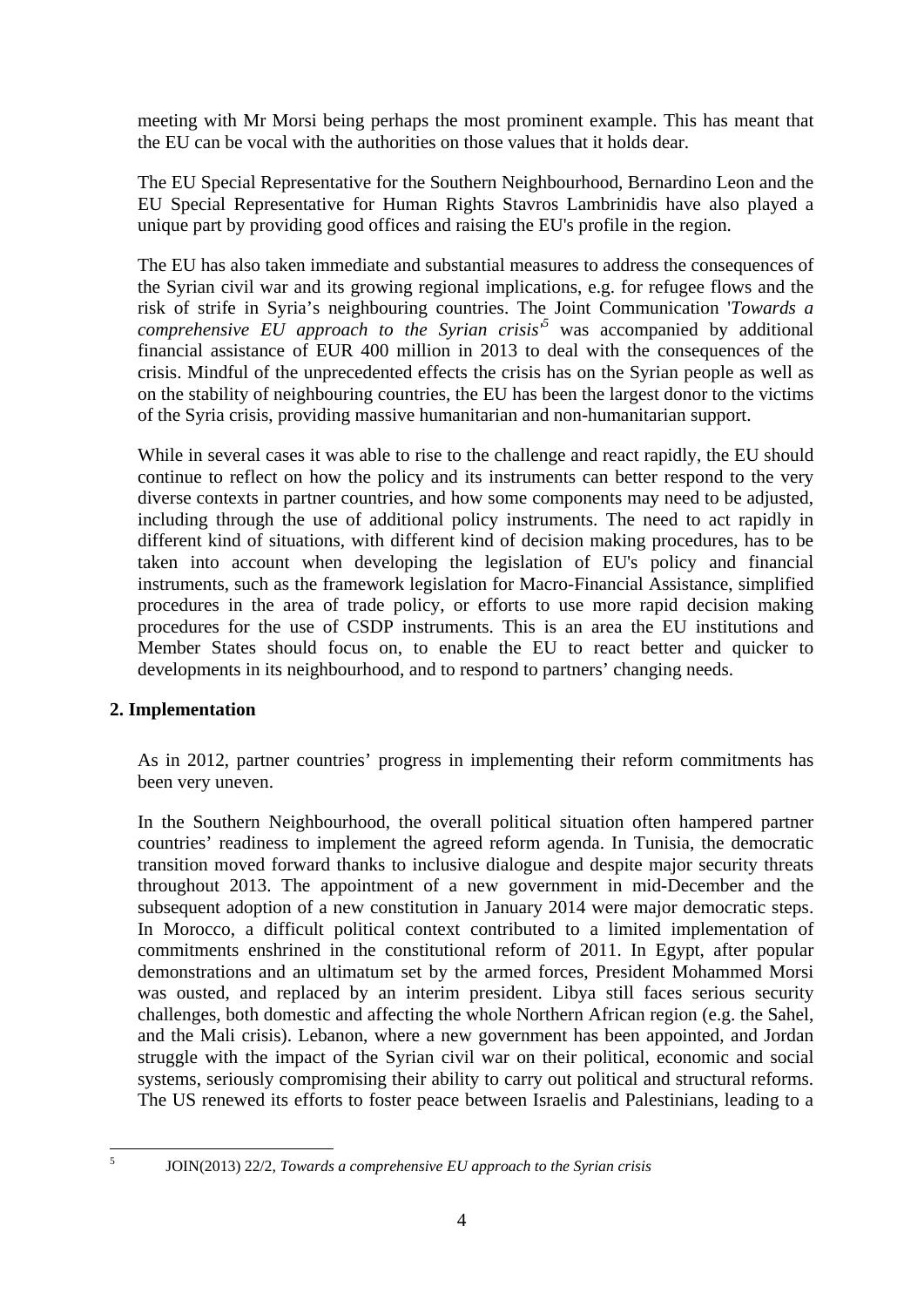meeting with Mr Morsi being perhaps the most prominent example. This has meant that the EU can be vocal with the authorities on those values that it holds dear.

The EU Special Representative for the Southern Neighbourhood, Bernardino Leon and the EU Special Representative for Human Rights Stavros Lambrinidis have also played a unique part by providing good offices and raising the EU's profile in the region.

The EU has also taken immediate and substantial measures to address the consequences of the Syrian civil war and its growing regional implications, e.g. for refugee flows and the risk of strife in Syria's neighbouring countries. The Joint Communication '*Towards a comprehensive EU approach to the Syrian crisis* $<sup>5</sup>$  was accompanied by additional</sup> financial assistance of EUR 400 million in 2013 to deal with the consequences of the crisis. Mindful of the unprecedented effects the crisis has on the Syrian people as well as on the stability of neighbouring countries, the EU has been the largest donor to the victims of the Syria crisis, providing massive humanitarian and non-humanitarian support.

While in several cases it was able to rise to the challenge and react rapidly, the EU should continue to reflect on how the policy and its instruments can better respond to the very diverse contexts in partner countries, and how some components may need to be adjusted, including through the use of additional policy instruments. The need to act rapidly in different kind of situations, with different kind of decision making procedures, has to be taken into account when developing the legislation of EU's policy and financial instruments, such as the framework legislation for Macro-Financial Assistance, simplified procedures in the area of trade policy, or efforts to use more rapid decision making procedures for the use of CSDP instruments. This is an area the EU institutions and Member States should focus on, to enable the EU to react better and quicker to developments in its neighbourhood, and to respond to partners' changing needs.

### **2. Implementation**

As in 2012, partner countries' progress in implementing their reform commitments has been very uneven.

In the Southern Neighbourhood, the overall political situation often hampered partner countries' readiness to implement the agreed reform agenda. In Tunisia, the democratic transition moved forward thanks to inclusive dialogue and despite major security threats throughout 2013. The appointment of a new government in mid-December and the subsequent adoption of a new constitution in January 2014 were major democratic steps. In Morocco, a difficult political context contributed to a limited implementation of commitments enshrined in the constitutional reform of 2011. In Egypt, after popular demonstrations and an ultimatum set by the armed forces, President Mohammed Morsi was ousted, and replaced by an interim president. Libya still faces serious security challenges, both domestic and affecting the whole Northern African region (e.g. the Sahel, and the Mali crisis). Lebanon, where a new government has been appointed, and Jordan struggle with the impact of the Syrian civil war on their political, economic and social systems, seriously compromising their ability to carry out political and structural reforms. The US renewed its efforts to foster peace between Israelis and Palestinians, leading to a

 $\frac{1}{5}$ 

JOIN(2013) 22/2, *Towards a comprehensive EU approach to the Syrian crisis*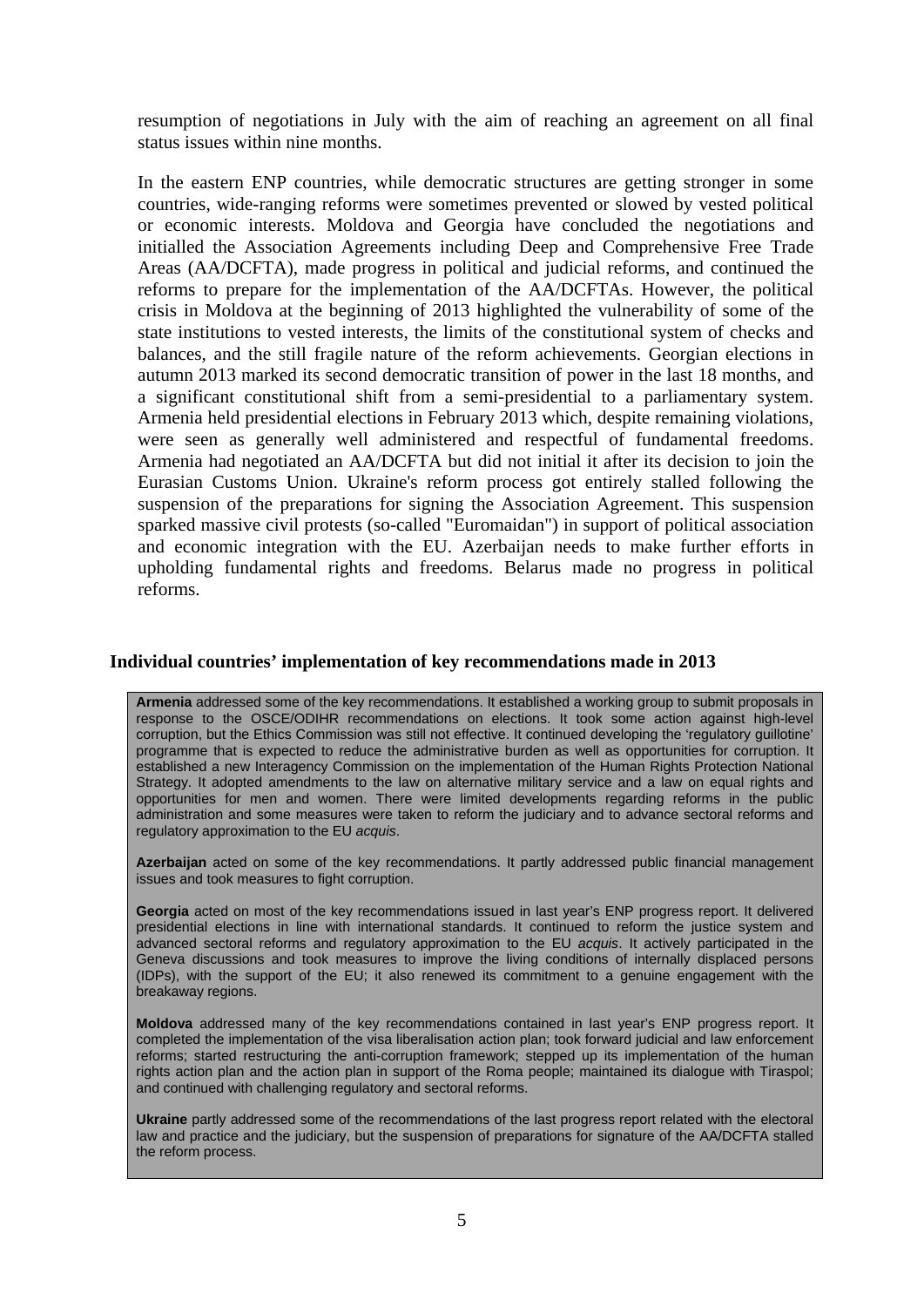resumption of negotiations in July with the aim of reaching an agreement on all final status issues within nine months.

In the eastern ENP countries, while democratic structures are getting stronger in some countries, wide-ranging reforms were sometimes prevented or slowed by vested political or economic interests. Moldova and Georgia have concluded the negotiations and initialled the Association Agreements including Deep and Comprehensive Free Trade Areas (AA/DCFTA), made progress in political and judicial reforms, and continued the reforms to prepare for the implementation of the AA/DCFTAs. However, the political crisis in Moldova at the beginning of 2013 highlighted the vulnerability of some of the state institutions to vested interests, the limits of the constitutional system of checks and balances, and the still fragile nature of the reform achievements. Georgian elections in autumn 2013 marked its second democratic transition of power in the last 18 months, and a significant constitutional shift from a semi-presidential to a parliamentary system. Armenia held presidential elections in February 2013 which, despite remaining violations, were seen as generally well administered and respectful of fundamental freedoms. Armenia had negotiated an AA/DCFTA but did not initial it after its decision to join the Eurasian Customs Union. Ukraine's reform process got entirely stalled following the suspension of the preparations for signing the Association Agreement. This suspension sparked massive civil protests (so-called "Euromaidan") in support of political association and economic integration with the EU. Azerbaijan needs to make further efforts in upholding fundamental rights and freedoms. Belarus made no progress in political reforms.

#### **Individual countries' implementation of key recommendations made in 2013**

**Armenia** addressed some of the key recommendations. It established a working group to submit proposals in response to the OSCE/ODIHR recommendations on elections. It took some action against high-level corruption, but the Ethics Commission was still not effective. It continued developing the 'regulatory guillotine' programme that is expected to reduce the administrative burden as well as opportunities for corruption. It established a new Interagency Commission on the implementation of the Human Rights Protection National Strategy. It adopted amendments to the law on alternative military service and a law on equal rights and opportunities for men and women. There were limited developments regarding reforms in the public administration and some measures were taken to reform the judiciary and to advance sectoral reforms and regulatory approximation to the EU *acquis*.

**Azerbaijan** acted on some of the key recommendations. It partly addressed public financial management issues and took measures to fight corruption.

**Georgia** acted on most of the key recommendations issued in last year's ENP progress report. It delivered presidential elections in line with international standards. It continued to reform the justice system and advanced sectoral reforms and regulatory approximation to the EU *acquis*. It actively participated in the Geneva discussions and took measures to improve the living conditions of internally displaced persons (IDPs), with the support of the EU; it also renewed its commitment to a genuine engagement with the breakaway regions.

**Moldova** addressed many of the key recommendations contained in last year's ENP progress report. It completed the implementation of the visa liberalisation action plan; took forward judicial and law enforcement reforms; started restructuring the anti-corruption framework; stepped up its implementation of the human rights action plan and the action plan in support of the Roma people; maintained its dialogue with Tiraspol; and continued with challenging regulatory and sectoral reforms.

**Ukraine** partly addressed some of the recommendations of the last progress report related with the electoral law and practice and the judiciary, but the suspension of preparations for signature of the AA/DCFTA stalled the reform process.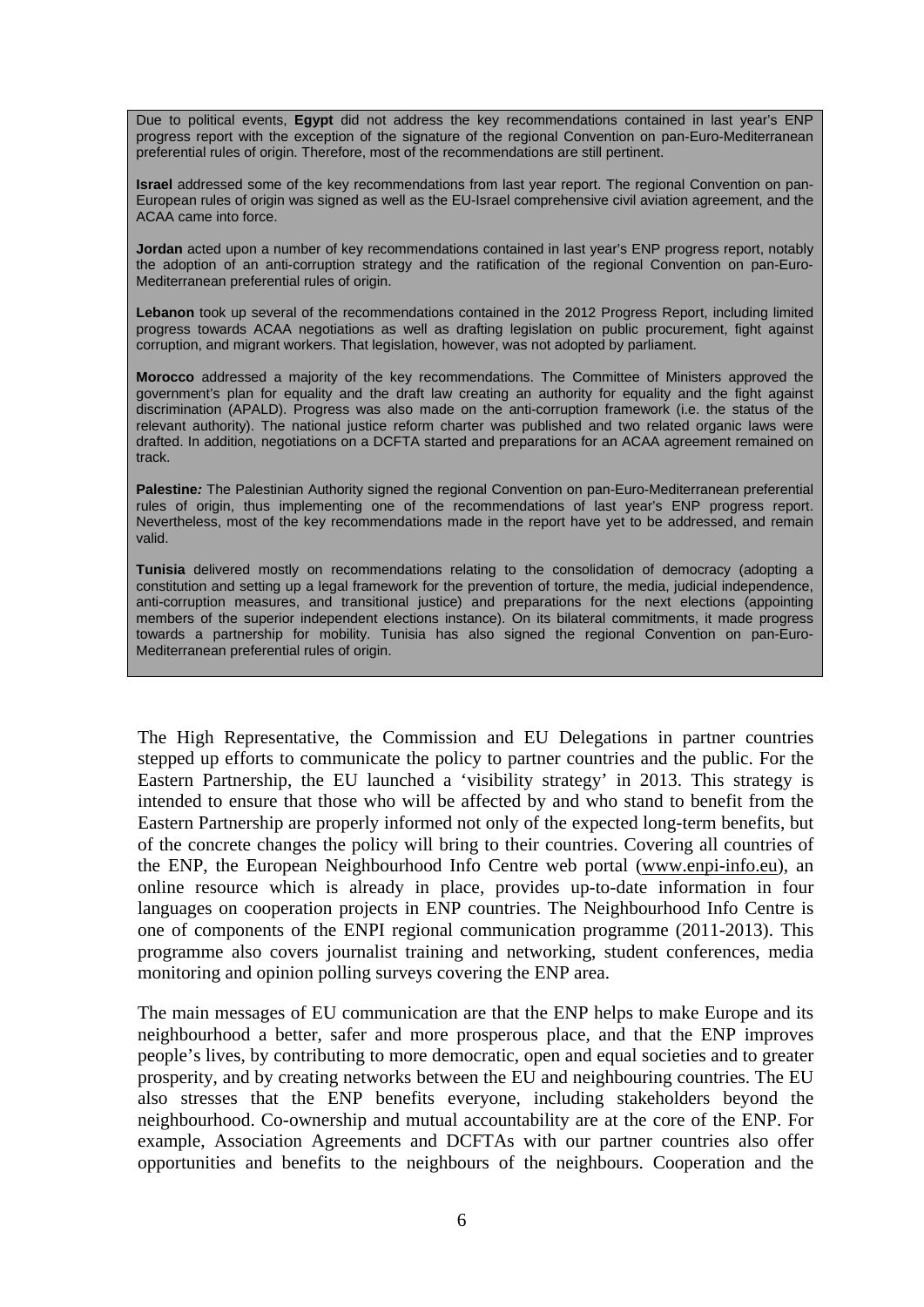Due to political events, **Egypt** did not address the key recommendations contained in last year's ENP progress report with the exception of the signature of the regional Convention on pan-Euro-Mediterranean preferential rules of origin. Therefore, most of the recommendations are still pertinent.

**Israel** addressed some of the key recommendations from last year report. The regional Convention on pan-European rules of origin was signed as well as the EU-Israel comprehensive civil aviation agreement, and the ACAA came into force.

**Jordan** acted upon a number of key recommendations contained in last year's ENP progress report, notably the adoption of an anti-corruption strategy and the ratification of the regional Convention on pan-Euro-Mediterranean preferential rules of origin.

**Lebanon** took up several of the recommendations contained in the 2012 Progress Report, including limited progress towards ACAA negotiations as well as drafting legislation on public procurement, fight against corruption, and migrant workers. That legislation, however, was not adopted by parliament.

**Morocco** addressed a majority of the key recommendations. The Committee of Ministers approved the government's plan for equality and the draft law creating an authority for equality and the fight against discrimination (APALD). Progress was also made on the anti-corruption framework (i.e. the status of the relevant authority). The national justice reform charter was published and two related organic laws were drafted. In addition, negotiations on a DCFTA started and preparations for an ACAA agreement remained on track.

**Palestine***:* The Palestinian Authority signed the regional Convention on pan-Euro-Mediterranean preferential rules of origin, thus implementing one of the recommendations of last year's ENP progress report. Nevertheless, most of the key recommendations made in the report have yet to be addressed, and remain valid.

**Tunisia** delivered mostly on recommendations relating to the consolidation of democracy (adopting a constitution and setting up a legal framework for the prevention of torture, the media, judicial independence, anti-corruption measures, and transitional justice) and preparations for the next elections (appointing members of the superior independent elections instance). On its bilateral commitments, it made progress towards a partnership for mobility. Tunisia has also signed the regional Convention on pan-Euro-Mediterranean preferential rules of origin.

The High Representative, the Commission and EU Delegations in partner countries stepped up efforts to communicate the policy to partner countries and the public. For the Eastern Partnership, the EU launched a 'visibility strategy' in 2013. This strategy is intended to ensure that those who will be affected by and who stand to benefit from the Eastern Partnership are properly informed not only of the expected long-term benefits, but of the concrete changes the policy will bring to their countries. Covering all countries of the ENP, the European Neighbourhood Info Centre web portal [\(www.enpi-info.eu\)](http://www.enpi-info.eu/), an online resource which is already in place, provides up-to-date information in four languages on cooperation projects in ENP countries. The Neighbourhood Info Centre is one of components of the ENPI regional communication programme (2011-2013). This programme also covers journalist training and networking, student conferences, media monitoring and opinion polling surveys covering the ENP area.

The main messages of EU communication are that the ENP helps to make Europe and its neighbourhood a better, safer and more prosperous place, and that the ENP improves people's lives, by contributing to more democratic, open and equal societies and to greater prosperity, and by creating networks between the EU and neighbouring countries. The EU also stresses that the ENP benefits everyone, including stakeholders beyond the neighbourhood. Co-ownership and mutual accountability are at the core of the ENP. For example, Association Agreements and DCFTAs with our partner countries also offer opportunities and benefits to the neighbours of the neighbours. Cooperation and the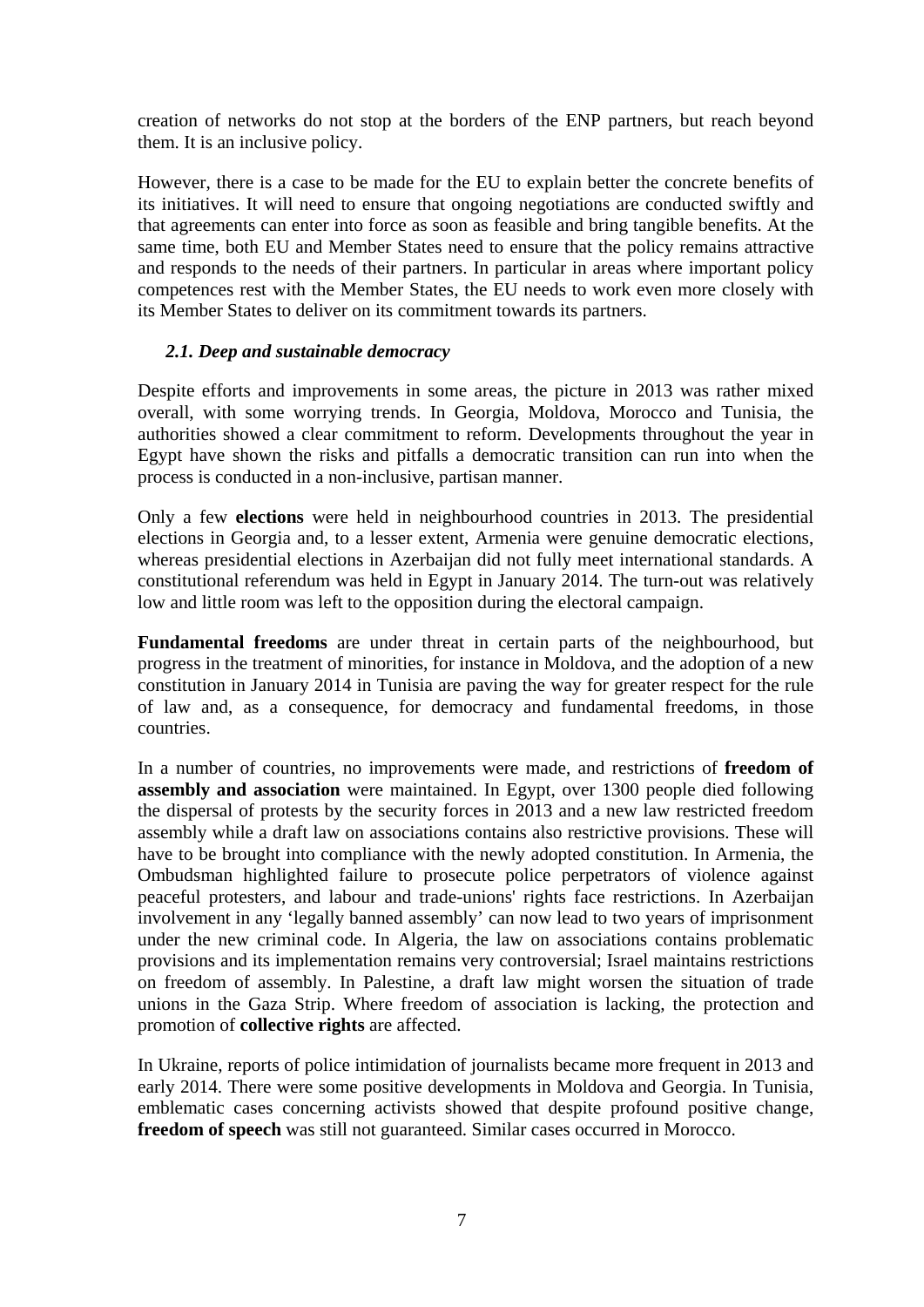creation of networks do not stop at the borders of the ENP partners, but reach beyond them. It is an inclusive policy.

However, there is a case to be made for the EU to explain better the concrete benefits of its initiatives. It will need to ensure that ongoing negotiations are conducted swiftly and that agreements can enter into force as soon as feasible and bring tangible benefits. At the same time, both EU and Member States need to ensure that the policy remains attractive and responds to the needs of their partners. In particular in areas where important policy competences rest with the Member States, the EU needs to work even more closely with its Member States to deliver on its commitment towards its partners.

### *2.1. Deep and sustainable democracy*

Despite efforts and improvements in some areas, the picture in 2013 was rather mixed overall, with some worrying trends. In Georgia, Moldova, Morocco and Tunisia, the authorities showed a clear commitment to reform. Developments throughout the year in Egypt have shown the risks and pitfalls a democratic transition can run into when the process is conducted in a non-inclusive, partisan manner.

Only a few **elections** were held in neighbourhood countries in 2013. The presidential elections in Georgia and, to a lesser extent, Armenia were genuine democratic elections, whereas presidential elections in Azerbaijan did not fully meet international standards. A constitutional referendum was held in Egypt in January 2014. The turn-out was relatively low and little room was left to the opposition during the electoral campaign.

**Fundamental freedoms** are under threat in certain parts of the neighbourhood, but progress in the treatment of minorities, for instance in Moldova, and the adoption of a new constitution in January 2014 in Tunisia are paving the way for greater respect for the rule of law and, as a consequence, for democracy and fundamental freedoms, in those countries.

In a number of countries, no improvements were made, and restrictions of **freedom of assembly and association** were maintained. In Egypt, over 1300 people died following the dispersal of protests by the security forces in 2013 and a new law restricted freedom assembly while a draft law on associations contains also restrictive provisions. These will have to be brought into compliance with the newly adopted constitution. In Armenia, the Ombudsman highlighted failure to prosecute police perpetrators of violence against peaceful protesters, and labour and trade-unions' rights face restrictions. In Azerbaijan involvement in any 'legally banned assembly' can now lead to two years of imprisonment under the new criminal code. In Algeria, the law on associations contains problematic provisions and its implementation remains very controversial; Israel maintains restrictions on freedom of assembly. In Palestine, a draft law might worsen the situation of trade unions in the Gaza Strip. Where freedom of association is lacking, the protection and promotion of **collective rights** are affected.

In Ukraine, reports of police intimidation of journalists became more frequent in 2013 and early 2014. There were some positive developments in Moldova and Georgia. In Tunisia, emblematic cases concerning activists showed that despite profound positive change, **freedom of speech** was still not guaranteed. Similar cases occurred in Morocco.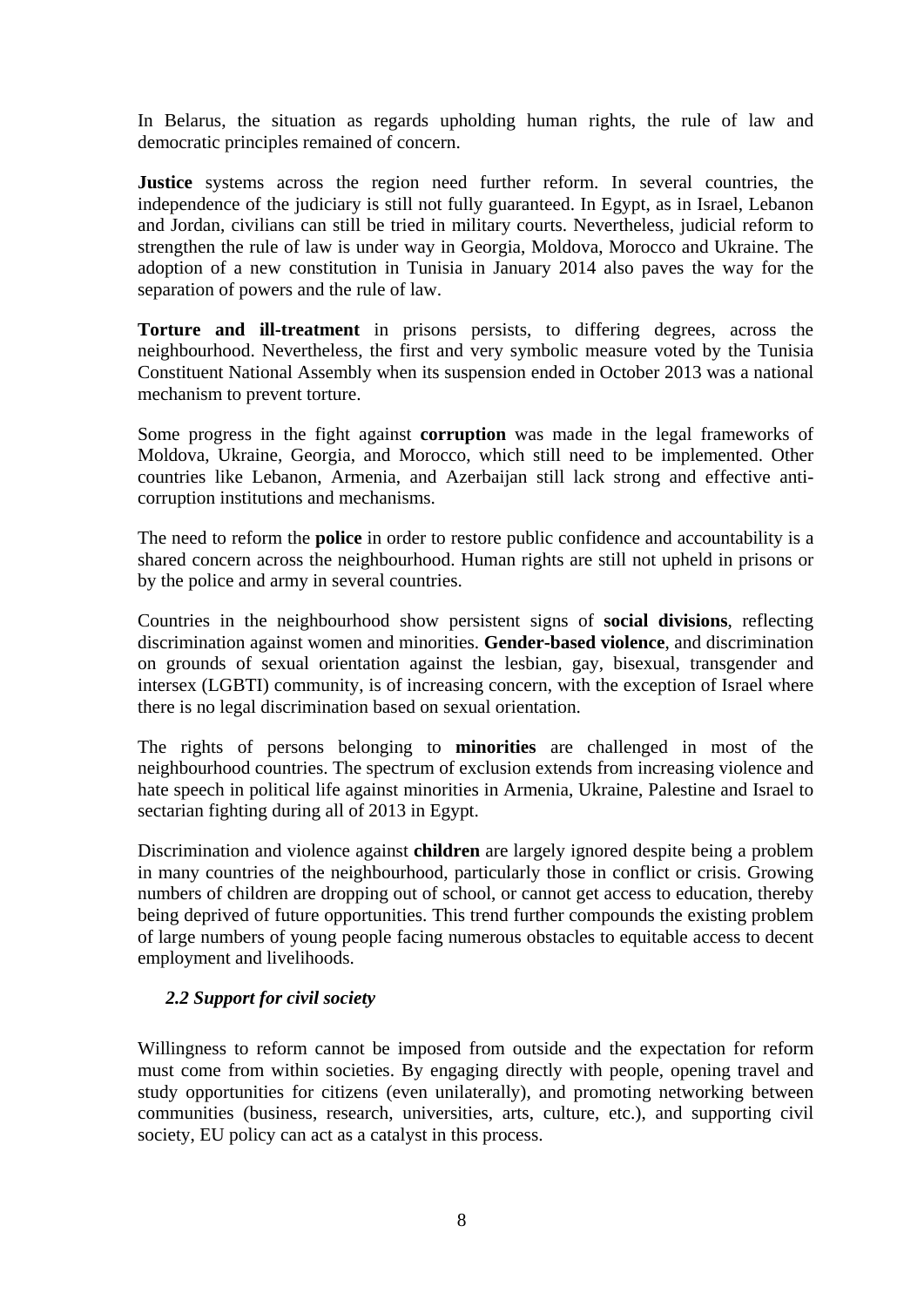In Belarus, the situation as regards upholding human rights, the rule of law and democratic principles remained of concern.

**Justice** systems across the region need further reform. In several countries, the independence of the judiciary is still not fully guaranteed. In Egypt, as in Israel, Lebanon and Jordan, civilians can still be tried in military courts. Nevertheless, judicial reform to strengthen the rule of law is under way in Georgia, Moldova, Morocco and Ukraine. The adoption of a new constitution in Tunisia in January 2014 also paves the way for the separation of powers and the rule of law.

**Torture and ill-treatment** in prisons persists, to differing degrees, across the neighbourhood. Nevertheless, the first and very symbolic measure voted by the Tunisia Constituent National Assembly when its suspension ended in October 2013 was a national mechanism to prevent torture.

Some progress in the fight against **corruption** was made in the legal frameworks of Moldova, Ukraine, Georgia, and Morocco, which still need to be implemented. Other countries like Lebanon, Armenia, and Azerbaijan still lack strong and effective anticorruption institutions and mechanisms.

The need to reform the **police** in order to restore public confidence and accountability is a shared concern across the neighbourhood. Human rights are still not upheld in prisons or by the police and army in several countries.

Countries in the neighbourhood show persistent signs of **social divisions**, reflecting discrimination against women and minorities. **Gender-based violence**, and discrimination on grounds of sexual orientation against the lesbian, gay, bisexual, transgender and intersex (LGBTI) community, is of increasing concern, with the exception of Israel where there is no legal discrimination based on sexual orientation.

The rights of persons belonging to **minorities** are challenged in most of the neighbourhood countries. The spectrum of exclusion extends from increasing violence and hate speech in political life against minorities in Armenia, Ukraine, Palestine and Israel to sectarian fighting during all of 2013 in Egypt.

Discrimination and violence against **children** are largely ignored despite being a problem in many countries of the neighbourhood, particularly those in conflict or crisis. Growing numbers of children are dropping out of school, or cannot get access to education, thereby being deprived of future opportunities. This trend further compounds the existing problem of large numbers of young people facing numerous obstacles to equitable access to decent employment and livelihoods.

### *2.2 Support for civil society*

Willingness to reform cannot be imposed from outside and the expectation for reform must come from within societies. By engaging directly with people, opening travel and study opportunities for citizens (even unilaterally), and promoting networking between communities (business, research, universities, arts, culture, etc.), and supporting civil society, EU policy can act as a catalyst in this process.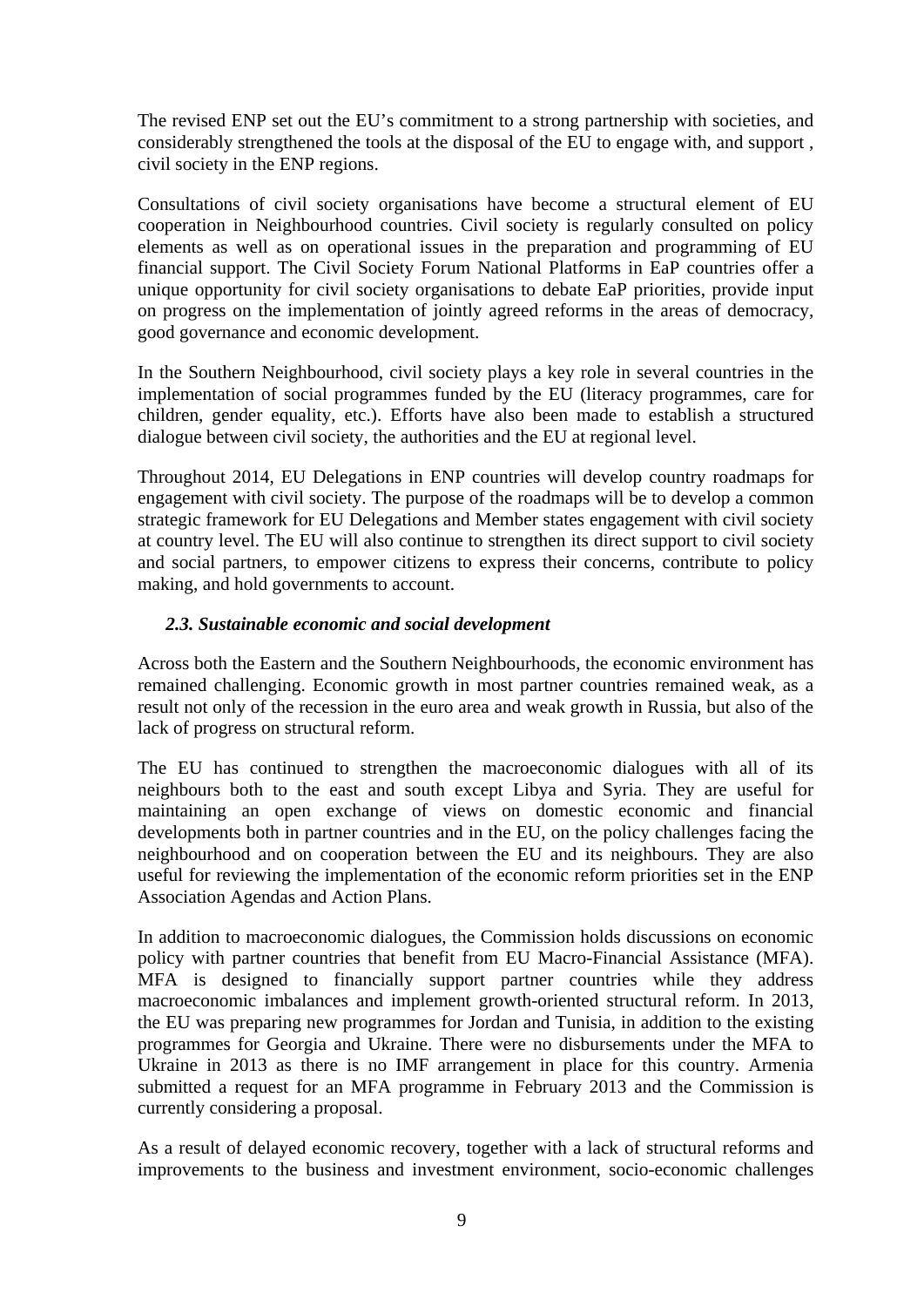The revised ENP set out the EU's commitment to a strong partnership with societies, and considerably strengthened the tools at the disposal of the EU to engage with, and support , civil society in the ENP regions.

Consultations of civil society organisations have become a structural element of EU cooperation in Neighbourhood countries. Civil society is regularly consulted on policy elements as well as on operational issues in the preparation and programming of EU financial support. The Civil Society Forum National Platforms in EaP countries offer a unique opportunity for civil society organisations to debate EaP priorities, provide input on progress on the implementation of jointly agreed reforms in the areas of democracy, good governance and economic development.

In the Southern Neighbourhood, civil society plays a key role in several countries in the implementation of social programmes funded by the EU (literacy programmes, care for children, gender equality, etc.). Efforts have also been made to establish a structured dialogue between civil society, the authorities and the EU at regional level.

Throughout 2014, EU Delegations in ENP countries will develop country roadmaps for engagement with civil society. The purpose of the roadmaps will be to develop a common strategic framework for EU Delegations and Member states engagement with civil society at country level. The EU will also continue to strengthen its direct support to civil society and social partners, to empower citizens to express their concerns, contribute to policy making, and hold governments to account.

### *2.3. Sustainable economic and social development*

Across both the Eastern and the Southern Neighbourhoods, the economic environment has remained challenging. Economic growth in most partner countries remained weak, as a result not only of the recession in the euro area and weak growth in Russia, but also of the lack of progress on structural reform.

The EU has continued to strengthen the macroeconomic dialogues with all of its neighbours both to the east and south except Libya and Syria. They are useful for maintaining an open exchange of views on domestic economic and financial developments both in partner countries and in the EU, on the policy challenges facing the neighbourhood and on cooperation between the EU and its neighbours. They are also useful for reviewing the implementation of the economic reform priorities set in the ENP Association Agendas and Action Plans.

In addition to macroeconomic dialogues, the Commission holds discussions on economic policy with partner countries that benefit from EU Macro-Financial Assistance (MFA). MFA is designed to financially support partner countries while they address macroeconomic imbalances and implement growth-oriented structural reform. In 2013, the EU was preparing new programmes for Jordan and Tunisia, in addition to the existing programmes for Georgia and Ukraine. There were no disbursements under the MFA to Ukraine in 2013 as there is no IMF arrangement in place for this country. Armenia submitted a request for an MFA programme in February 2013 and the Commission is currently considering a proposal.

As a result of delayed economic recovery, together with a lack of structural reforms and improvements to the business and investment environment, socio-economic challenges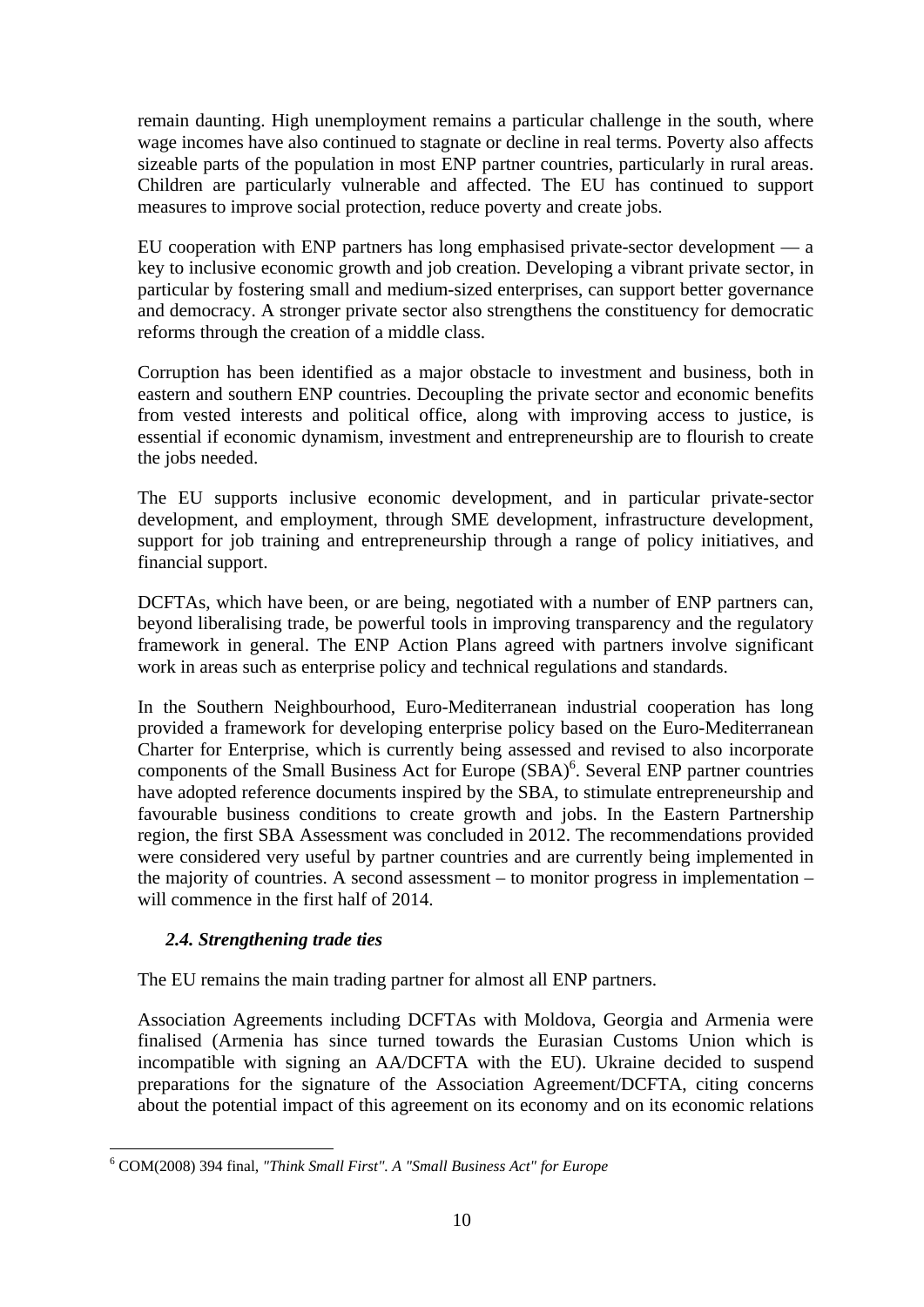remain daunting. High unemployment remains a particular challenge in the south, where wage incomes have also continued to stagnate or decline in real terms. Poverty also affects sizeable parts of the population in most ENP partner countries, particularly in rural areas. Children are particularly vulnerable and affected. The EU has continued to support measures to improve social protection, reduce poverty and create jobs.

EU cooperation with ENP partners has long emphasised private-sector development — a key to inclusive economic growth and job creation. Developing a vibrant private sector, in particular by fostering small and medium-sized enterprises, can support better governance and democracy. A stronger private sector also strengthens the constituency for democratic reforms through the creation of a middle class.

Corruption has been identified as a major obstacle to investment and business, both in eastern and southern ENP countries. Decoupling the private sector and economic benefits from vested interests and political office, along with improving access to justice, is essential if economic dynamism, investment and entrepreneurship are to flourish to create the jobs needed.

The EU supports inclusive economic development, and in particular private-sector development, and employment, through SME development, infrastructure development, support for job training and entrepreneurship through a range of policy initiatives, and financial support.

DCFTAs, which have been, or are being, negotiated with a number of ENP partners can, beyond liberalising trade, be powerful tools in improving transparency and the regulatory framework in general. The ENP Action Plans agreed with partners involve significant work in areas such as enterprise policy and technical regulations and standards.

In the Southern Neighbourhood, Euro-Mediterranean industrial cooperation has long provided a framework for developing enterprise policy based on the Euro-Mediterranean Charter for Enterprise, which is currently being assessed and revised to also incorporate components of the Small Business Act for Europe (SBA)<sup>6</sup>. Several ENP partner countries have adopted reference documents inspired by the SBA, to stimulate entrepreneurship and favourable business conditions to create growth and jobs. In the Eastern Partnership region, the first SBA Assessment was concluded in 2012. The recommendations provided were considered very useful by partner countries and are currently being implemented in the majority of countries. A second assessment – to monitor progress in implementation – will commence in the first half of 2014.

### *2.4. Strengthening trade ties*

<u>.</u>

The EU remains the main trading partner for almost all ENP partners.

Association Agreements including DCFTAs with Moldova, Georgia and Armenia were finalised (Armenia has since turned towards the Eurasian Customs Union which is incompatible with signing an AA/DCFTA with the EU). Ukraine decided to suspend preparations for the signature of the Association Agreement/DCFTA, citing concerns about the potential impact of this agreement on its economy and on its economic relations

<sup>6</sup> COM(2008) 394 final, *"Think Small First". A "Small Business Act" for Europe*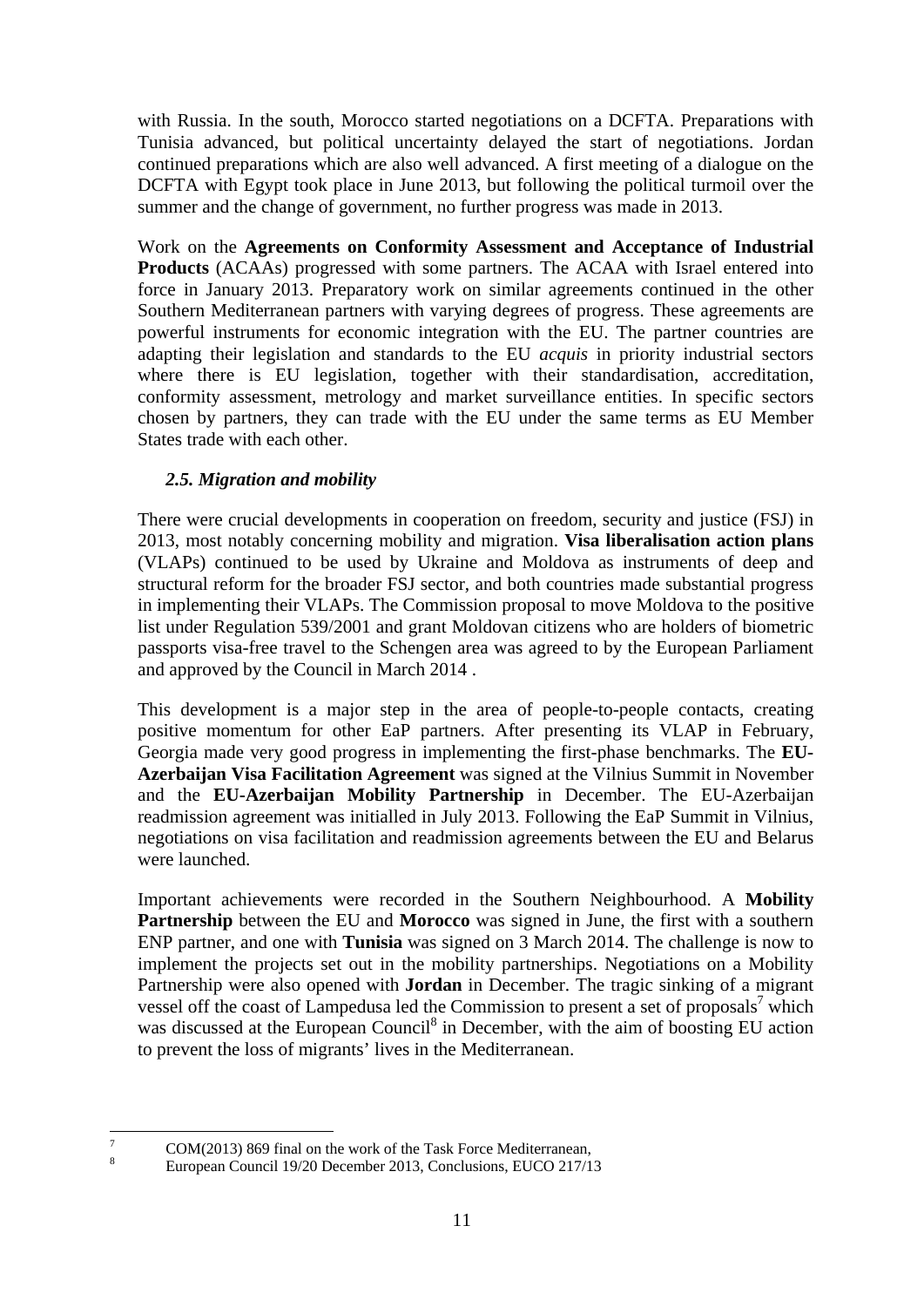with Russia. In the south, Morocco started negotiations on a DCFTA. Preparations with Tunisia advanced, but political uncertainty delayed the start of negotiations. Jordan continued preparations which are also well advanced. A first meeting of a dialogue on the DCFTA with Egypt took place in June 2013, but following the political turmoil over the summer and the change of government, no further progress was made in 2013.

Work on the **Agreements on Conformity Assessment and Acceptance of Industrial Products** (ACAAs) progressed with some partners. The ACAA with Israel entered into force in January 2013. Preparatory work on similar agreements continued in the other Southern Mediterranean partners with varying degrees of progress. These agreements are powerful instruments for economic integration with the EU. The partner countries are adapting their legislation and standards to the EU *acquis* in priority industrial sectors where there is EU legislation, together with their standardisation, accreditation, conformity assessment, metrology and market surveillance entities. In specific sectors chosen by partners, they can trade with the EU under the same terms as EU Member States trade with each other.

## *2.5. Migration and mobility*

There were crucial developments in cooperation on freedom, security and justice (FSJ) in 2013, most notably concerning mobility and migration. **Visa liberalisation action plans** (VLAPs) continued to be used by Ukraine and Moldova as instruments of deep and structural reform for the broader FSJ sector, and both countries made substantial progress in implementing their VLAPs. The Commission proposal to move Moldova to the positive list under Regulation 539/2001 and grant Moldovan citizens who are holders of biometric passports visa-free travel to the Schengen area was agreed to by the European Parliament and approved by the Council in March 2014 .

This development is a major step in the area of people-to-people contacts, creating positive momentum for other EaP partners. After presenting its VLAP in February, Georgia made very good progress in implementing the first-phase benchmarks. The **EU-Azerbaijan Visa Facilitation Agreement** was signed at the Vilnius Summit in November and the **EU-Azerbaijan Mobility Partnership** in December. The EU-Azerbaijan readmission agreement was initialled in July 2013. Following the EaP Summit in Vilnius, negotiations on visa facilitation and readmission agreements between the EU and Belarus were launched.

Important achievements were recorded in the Southern Neighbourhood. A **Mobility Partnership** between the EU and **Morocco** was signed in June, the first with a southern ENP partner, and one with **Tunisia** was signed on 3 March 2014. The challenge is now to implement the projects set out in the mobility partnerships. Negotiations on a Mobility Partnership were also opened with **Jordan** in December. The tragic sinking of a migrant vessel off the coast of Lampedusa led the Commission to present a set of proposals<sup>7</sup> which was discussed at the European Council<sup>8</sup> in December, with the aim of boosting EU action to prevent the loss of migrants' lives in the Mediterranean.

 $\frac{1}{7}$ 

8

COM(2013) 869 final on the work of the Task Force Mediterranean,

European Council 19/20 December 2013, Conclusions, EUCO 217/13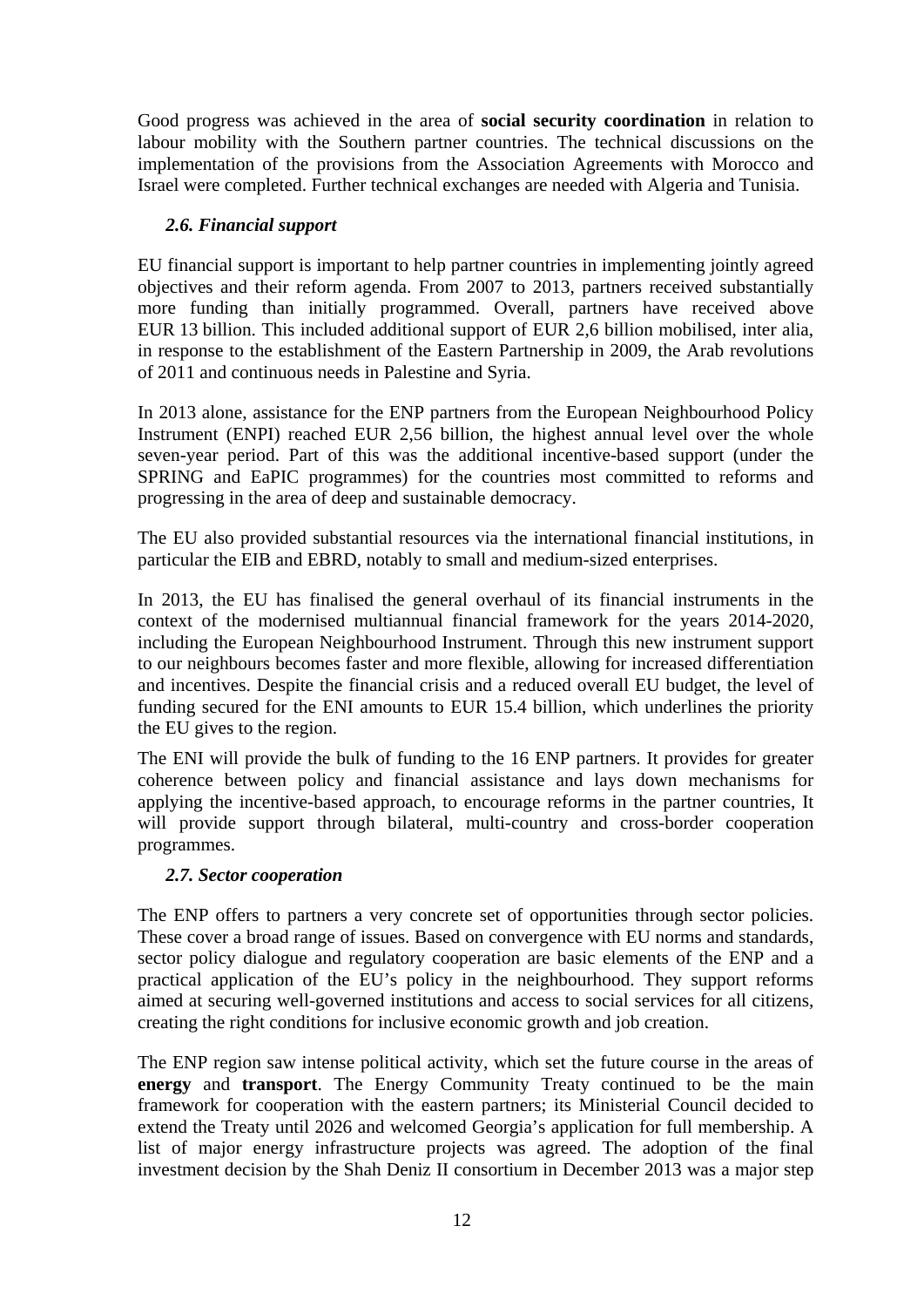Good progress was achieved in the area of **social security coordination** in relation to labour mobility with the Southern partner countries. The technical discussions on the implementation of the provisions from the Association Agreements with Morocco and Israel were completed. Further technical exchanges are needed with Algeria and Tunisia.

### *2.6. Financial support*

EU financial support is important to help partner countries in implementing jointly agreed objectives and their reform agenda. From 2007 to 2013, partners received substantially more funding than initially programmed. Overall, partners have received above EUR 13 billion. This included additional support of EUR 2,6 billion mobilised, inter alia, in response to the establishment of the Eastern Partnership in 2009, the Arab revolutions of 2011 and continuous needs in Palestine and Syria.

In 2013 alone, assistance for the ENP partners from the European Neighbourhood Policy Instrument (ENPI) reached EUR 2,56 billion, the highest annual level over the whole seven-year period. Part of this was the additional incentive-based support (under the SPRING and EaPIC programmes) for the countries most committed to reforms and progressing in the area of deep and sustainable democracy.

The EU also provided substantial resources via the international financial institutions, in particular the EIB and EBRD, notably to small and medium-sized enterprises.

In 2013, the EU has finalised the general overhaul of its financial instruments in the context of the modernised multiannual financial framework for the years 2014-2020, including the European Neighbourhood Instrument. Through this new instrument support to our neighbours becomes faster and more flexible, allowing for increased differentiation and incentives. Despite the financial crisis and a reduced overall EU budget, the level of funding secured for the ENI amounts to EUR 15.4 billion, which underlines the priority the EU gives to the region.

The ENI will provide the bulk of funding to the 16 ENP partners. It provides for greater coherence between policy and financial assistance and lays down mechanisms for applying the incentive-based approach, to encourage reforms in the partner countries, It will provide support through bilateral, multi-country and cross-border cooperation programmes.

### *2.7. Sector cooperation*

The ENP offers to partners a very concrete set of opportunities through sector policies. These cover a broad range of issues. Based on convergence with EU norms and standards, sector policy dialogue and regulatory cooperation are basic elements of the ENP and a practical application of the EU's policy in the neighbourhood. They support reforms aimed at securing well-governed institutions and access to social services for all citizens, creating the right conditions for inclusive economic growth and job creation.

The ENP region saw intense political activity, which set the future course in the areas of **energy** and **transport**. The Energy Community Treaty continued to be the main framework for cooperation with the eastern partners; its Ministerial Council decided to extend the Treaty until 2026 and welcomed Georgia's application for full membership. A list of major energy infrastructure projects was agreed. The adoption of the final investment decision by the Shah Deniz II consortium in December 2013 was a major step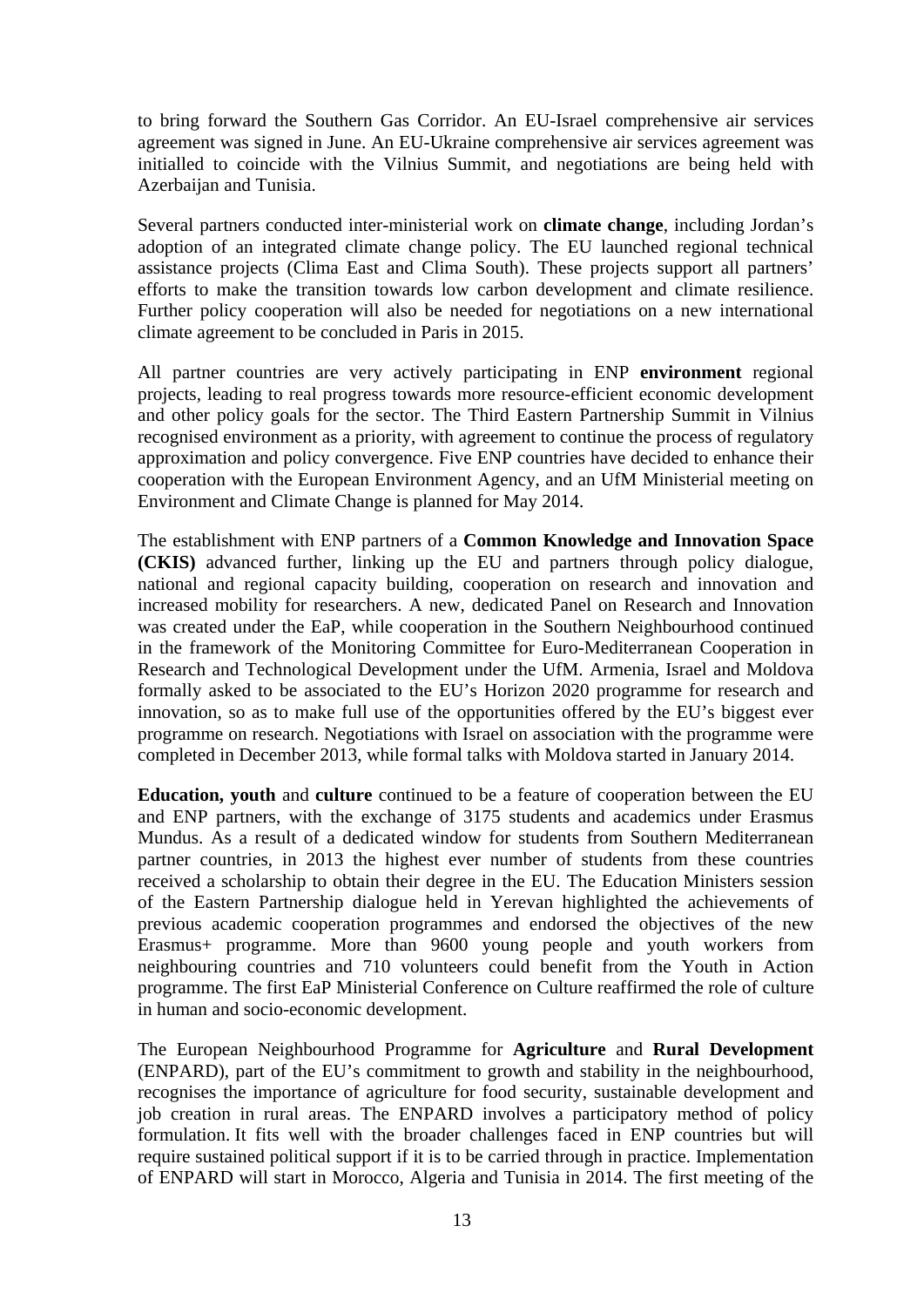to bring forward the Southern Gas Corridor. An EU-Israel comprehensive air services agreement was signed in June. An EU-Ukraine comprehensive air services agreement was initialled to coincide with the Vilnius Summit, and negotiations are being held with Azerbaijan and Tunisia.

Several partners conducted inter-ministerial work on **climate change**, including Jordan's adoption of an integrated climate change policy. The EU launched regional technical assistance projects (Clima East and Clima South). These projects support all partners' efforts to make the transition towards low carbon development and climate resilience. Further policy cooperation will also be needed for negotiations on a new international climate agreement to be concluded in Paris in 2015.

All partner countries are very actively participating in ENP **environment** regional projects, leading to real progress towards more resource-efficient economic development and other policy goals for the sector. The Third Eastern Partnership Summit in Vilnius recognised environment as a priority, with agreement to continue the process of regulatory approximation and policy convergence. Five ENP countries have decided to enhance their cooperation with the European Environment Agency, and an UfM Ministerial meeting on Environment and Climate Change is planned for May 2014.

The establishment with ENP partners of a **Common Knowledge and Innovation Space (CKIS)** advanced further, linking up the EU and partners through policy dialogue, national and regional capacity building, cooperation on research and innovation and increased mobility for researchers. A new, dedicated Panel on Research and Innovation was created under the EaP, while cooperation in the Southern Neighbourhood continued in the framework of the Monitoring Committee for Euro-Mediterranean Cooperation in Research and Technological Development under the UfM. Armenia, Israel and Moldova formally asked to be associated to the EU's Horizon 2020 programme for research and innovation, so as to make full use of the opportunities offered by the EU's biggest ever programme on research. Negotiations with Israel on association with the programme were completed in December 2013, while formal talks with Moldova started in January 2014.

**Education, youth** and **culture** continued to be a feature of cooperation between the EU and ENP partners, with the exchange of 3175 students and academics under Erasmus Mundus. As a result of a dedicated window for students from Southern Mediterranean partner countries, in 2013 the highest ever number of students from these countries received a scholarship to obtain their degree in the EU. The Education Ministers session of the Eastern Partnership dialogue held in Yerevan highlighted the achievements of previous academic cooperation programmes and endorsed the objectives of the new Erasmus+ programme. More than 9600 young people and youth workers from neighbouring countries and 710 volunteers could benefit from the Youth in Action programme. The first EaP Ministerial Conference on Culture reaffirmed the role of culture in human and socio-economic development.

The European Neighbourhood Programme for **Agriculture** and **Rural Development** (ENPARD), part of the EU's commitment to growth and stability in the neighbourhood, recognises the importance of agriculture for food security, sustainable development and job creation in rural areas. The ENPARD involves a participatory method of policy formulation. It fits well with the broader challenges faced in ENP countries but will require sustained political support if it is to be carried through in practice. Implementation of ENPARD will start in Morocco, Algeria and Tunisia in 2014. The first meeting of the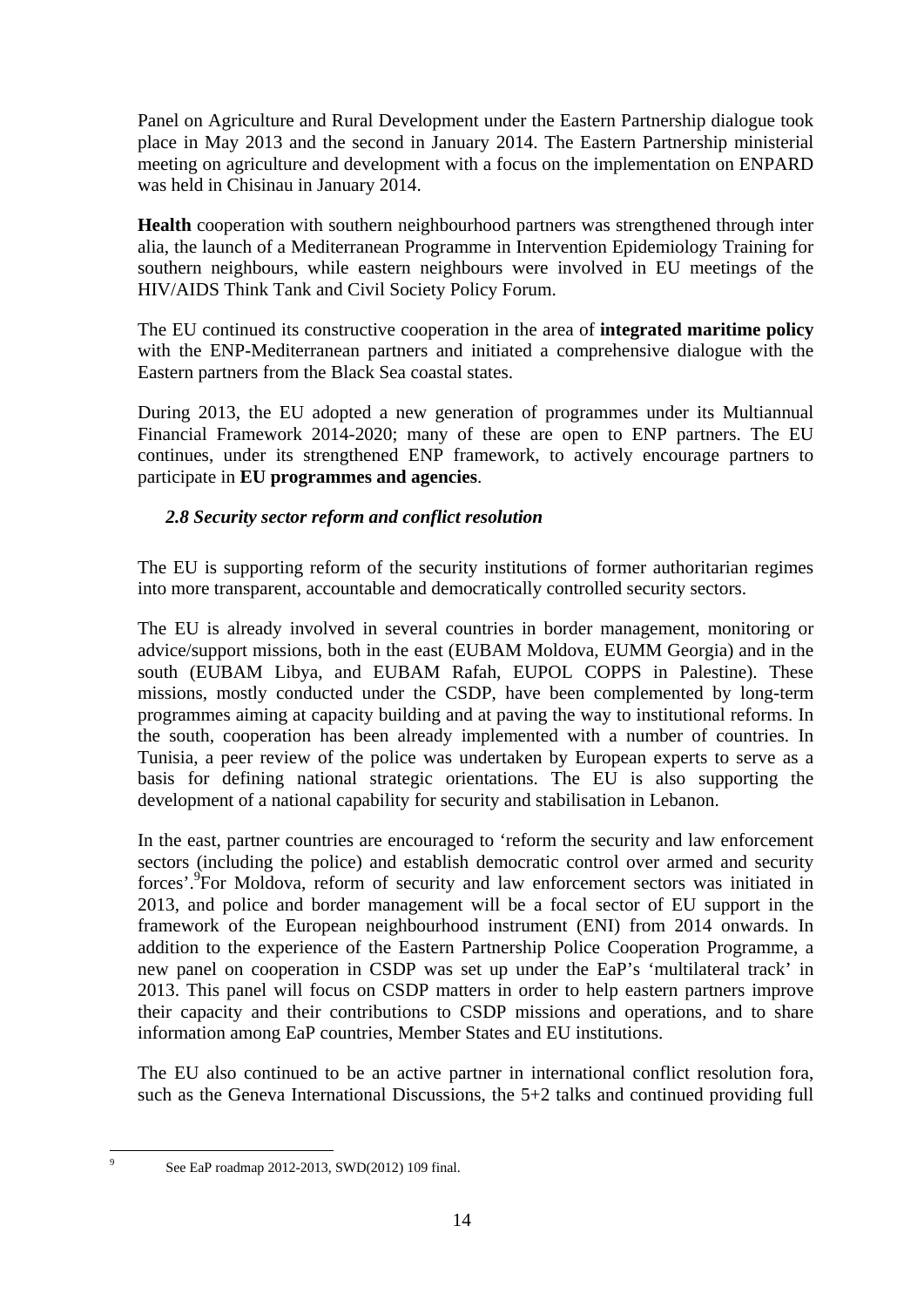Panel on Agriculture and Rural Development under the Eastern Partnership dialogue took place in May 2013 and the second in January 2014. The Eastern Partnership ministerial meeting on agriculture and development with a focus on the implementation on ENPARD was held in Chisinau in January 2014.

**Health** cooperation with southern neighbourhood partners was strengthened through inter alia, the launch of a Mediterranean Programme in Intervention Epidemiology Training for southern neighbours, while eastern neighbours were involved in EU meetings of the HIV/AIDS Think Tank and Civil Society Policy Forum.

The EU continued its constructive cooperation in the area of **integrated maritime policy** with the ENP-Mediterranean partners and initiated a comprehensive dialogue with the Eastern partners from the Black Sea coastal states.

During 2013, the EU adopted a new generation of programmes under its Multiannual Financial Framework 2014-2020; many of these are open to ENP partners. The EU continues, under its strengthened ENP framework, to actively encourage partners to participate in **EU programmes and agencies**.

## *2.8 Security sector reform and conflict resolution*

The EU is supporting reform of the security institutions of former authoritarian regimes into more transparent, accountable and democratically controlled security sectors.

The EU is already involved in several countries in border management, monitoring or advice/support missions, both in the east (EUBAM Moldova, EUMM Georgia) and in the south (EUBAM Libya, and EUBAM Rafah, EUPOL COPPS in Palestine). These missions, mostly conducted under the CSDP, have been complemented by long-term programmes aiming at capacity building and at paving the way to institutional reforms. In the south, cooperation has been already implemented with a number of countries. In Tunisia, a peer review of the police was undertaken by European experts to serve as a basis for defining national strategic orientations. The EU is also supporting the development of a national capability for security and stabilisation in Lebanon.

In the east, partner countries are encouraged to 'reform the security and law enforcement sectors (including the police) and establish democratic control over armed and security forces'.9 For Moldova, reform of security and law enforcement sectors was initiated in 2013, and police and border management will be a focal sector of EU support in the framework of the European neighbourhood instrument (ENI) from 2014 onwards. In addition to the experience of the Eastern Partnership Police Cooperation Programme, a new panel on cooperation in CSDP was set up under the EaP's 'multilateral track' in 2013. This panel will focus on CSDP matters in order to help eastern partners improve their capacity and their contributions to CSDP missions and operations, and to share information among EaP countries, Member States and EU institutions.

The EU also continued to be an active partner in international conflict resolution fora, such as the Geneva International Discussions, the 5+2 talks and continued providing full

-<br>9

See EaP roadmap 2012-2013, SWD(2012) 109 final.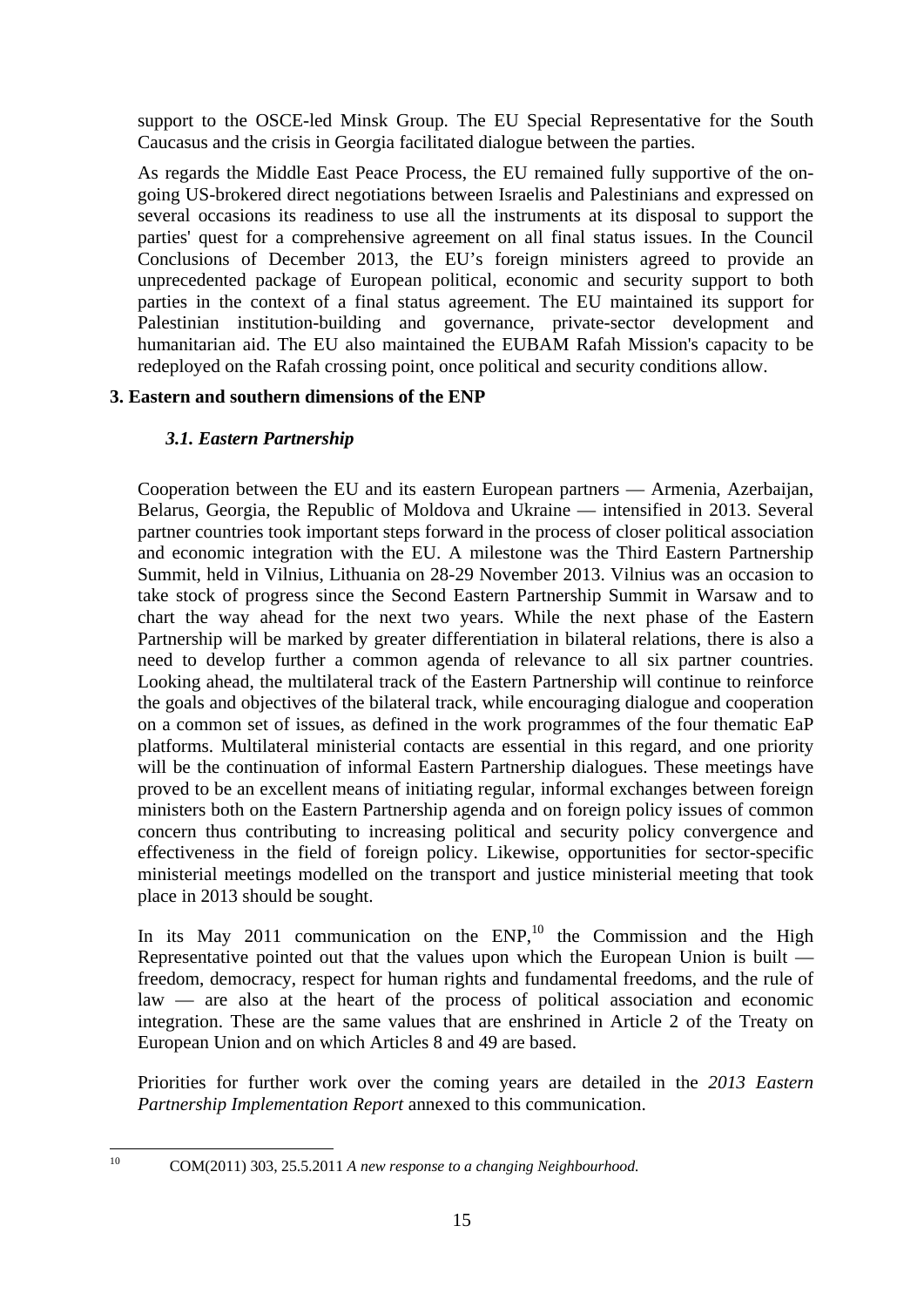support to the OSCE-led Minsk Group. The EU Special Representative for the South Caucasus and the crisis in Georgia facilitated dialogue between the parties.

As regards the Middle East Peace Process, the EU remained fully supportive of the ongoing US-brokered direct negotiations between Israelis and Palestinians and expressed on several occasions its readiness to use all the instruments at its disposal to support the parties' quest for a comprehensive agreement on all final status issues. In the Council Conclusions of December 2013, the EU's foreign ministers agreed to provide an unprecedented package of European political, economic and security support to both parties in the context of a final status agreement. The EU maintained its support for Palestinian institution-building and governance, private-sector development and humanitarian aid. The EU also maintained the EUBAM Rafah Mission's capacity to be redeployed on the Rafah crossing point, once political and security conditions allow.

## **3. Eastern and southern dimensions of the ENP**

# *3.1. Eastern Partnership*

Cooperation between the EU and its eastern European partners — Armenia, Azerbaijan, Belarus, Georgia, the Republic of Moldova and Ukraine — intensified in 2013. Several partner countries took important steps forward in the process of closer political association and economic integration with the EU. A milestone was the Third Eastern Partnership Summit, held in Vilnius, Lithuania on 28-29 November 2013. Vilnius was an occasion to take stock of progress since the Second Eastern Partnership Summit in Warsaw and to chart the way ahead for the next two years. While the next phase of the Eastern Partnership will be marked by greater differentiation in bilateral relations, there is also a need to develop further a common agenda of relevance to all six partner countries. Looking ahead, the multilateral track of the Eastern Partnership will continue to reinforce the goals and objectives of the bilateral track, while encouraging dialogue and cooperation on a common set of issues, as defined in the work programmes of the four thematic EaP platforms. Multilateral ministerial contacts are essential in this regard, and one priority will be the continuation of informal Eastern Partnership dialogues. These meetings have proved to be an excellent means of initiating regular, informal exchanges between foreign ministers both on the Eastern Partnership agenda and on foreign policy issues of common concern thus contributing to increasing political and security policy convergence and effectiveness in the field of foreign policy. Likewise, opportunities for sector-specific ministerial meetings modelled on the transport and justice ministerial meeting that took place in 2013 should be sought.

In its May 2011 communication on the  $ENP<sub>10</sub>$ , the Commission and the High Representative pointed out that the values upon which the European Union is built freedom, democracy, respect for human rights and fundamental freedoms, and the rule of law — are also at the heart of the process of political association and economic integration. These are the same values that are enshrined in Article 2 of the Treaty on European Union and on which Articles 8 and 49 are based.

Priorities for further work over the coming years are detailed in the *2013 Eastern Partnership Implementation Report* annexed to this communication.

 $10<sup>10</sup>$ 

<sup>10</sup> COM(2011) 303, 25.5.2011 *A new response to a changing Neighbourhood.*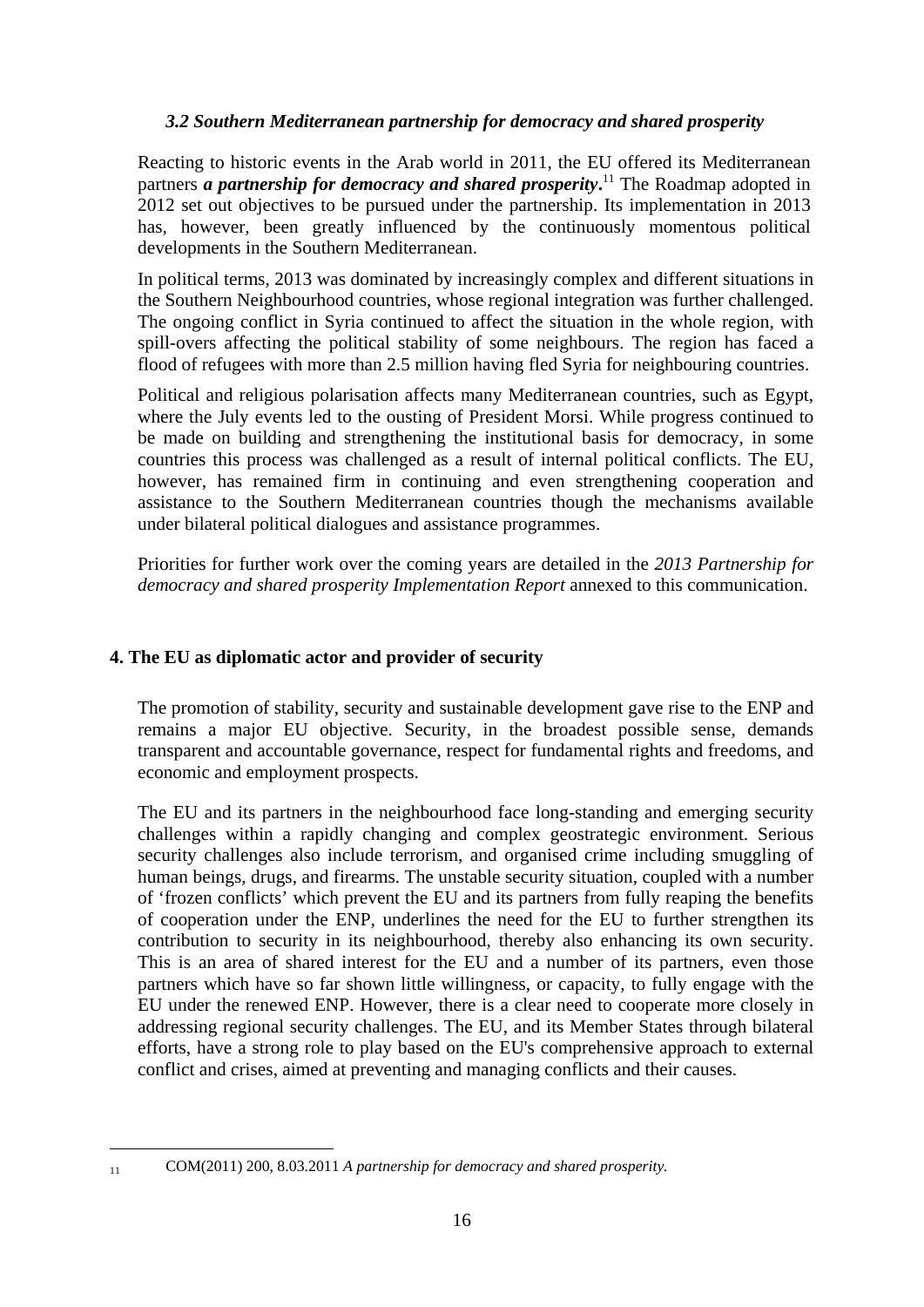### *3.2 Southern Mediterranean partnership for democracy and shared prosperity*

Reacting to historic events in the Arab world in 2011, the EU offered its Mediterranean partners *a partnership for democracy and shared prosperity***.** 11 The Roadmap adopted in 2012 set out objectives to be pursued under the partnership. Its implementation in 2013 has, however, been greatly influenced by the continuously momentous political developments in the Southern Mediterranean.

In political terms, 2013 was dominated by increasingly complex and different situations in the Southern Neighbourhood countries, whose regional integration was further challenged. The ongoing conflict in Syria continued to affect the situation in the whole region, with spill-overs affecting the political stability of some neighbours. The region has faced a flood of refugees with more than 2.5 million having fled Syria for neighbouring countries.

Political and religious polarisation affects many Mediterranean countries, such as Egypt, where the July events led to the ousting of President Morsi. While progress continued to be made on building and strengthening the institutional basis for democracy, in some countries this process was challenged as a result of internal political conflicts. The EU, however, has remained firm in continuing and even strengthening cooperation and assistance to the Southern Mediterranean countries though the mechanisms available under bilateral political dialogues and assistance programmes.

Priorities for further work over the coming years are detailed in the *2013 Partnership for democracy and shared prosperity Implementation Report* annexed to this communication.

### **4. The EU as diplomatic actor and provider of security**

The promotion of stability, security and sustainable development gave rise to the ENP and remains a major EU objective. Security, in the broadest possible sense, demands transparent and accountable governance, respect for fundamental rights and freedoms, and economic and employment prospects.

The EU and its partners in the neighbourhood face long-standing and emerging security challenges within a rapidly changing and complex geostrategic environment. Serious security challenges also include terrorism, and organised crime including smuggling of human beings, drugs, and firearms. The unstable security situation, coupled with a number of 'frozen conflicts' which prevent the EU and its partners from fully reaping the benefits of cooperation under the ENP, underlines the need for the EU to further strengthen its contribution to security in its neighbourhood, thereby also enhancing its own security. This is an area of shared interest for the EU and a number of its partners, even those partners which have so far shown little willingness, or capacity, to fully engage with the EU under the renewed ENP. However, there is a clear need to cooperate more closely in addressing regional security challenges. The EU, and its Member States through bilateral efforts, have a strong role to play based on the EU's comprehensive approach to external conflict and crises, aimed at preventing and managing conflicts and their causes.

<u>.</u>

<sup>11</sup> COM(2011) 200, 8.03.2011 *A partnership for democracy and shared prosperity.*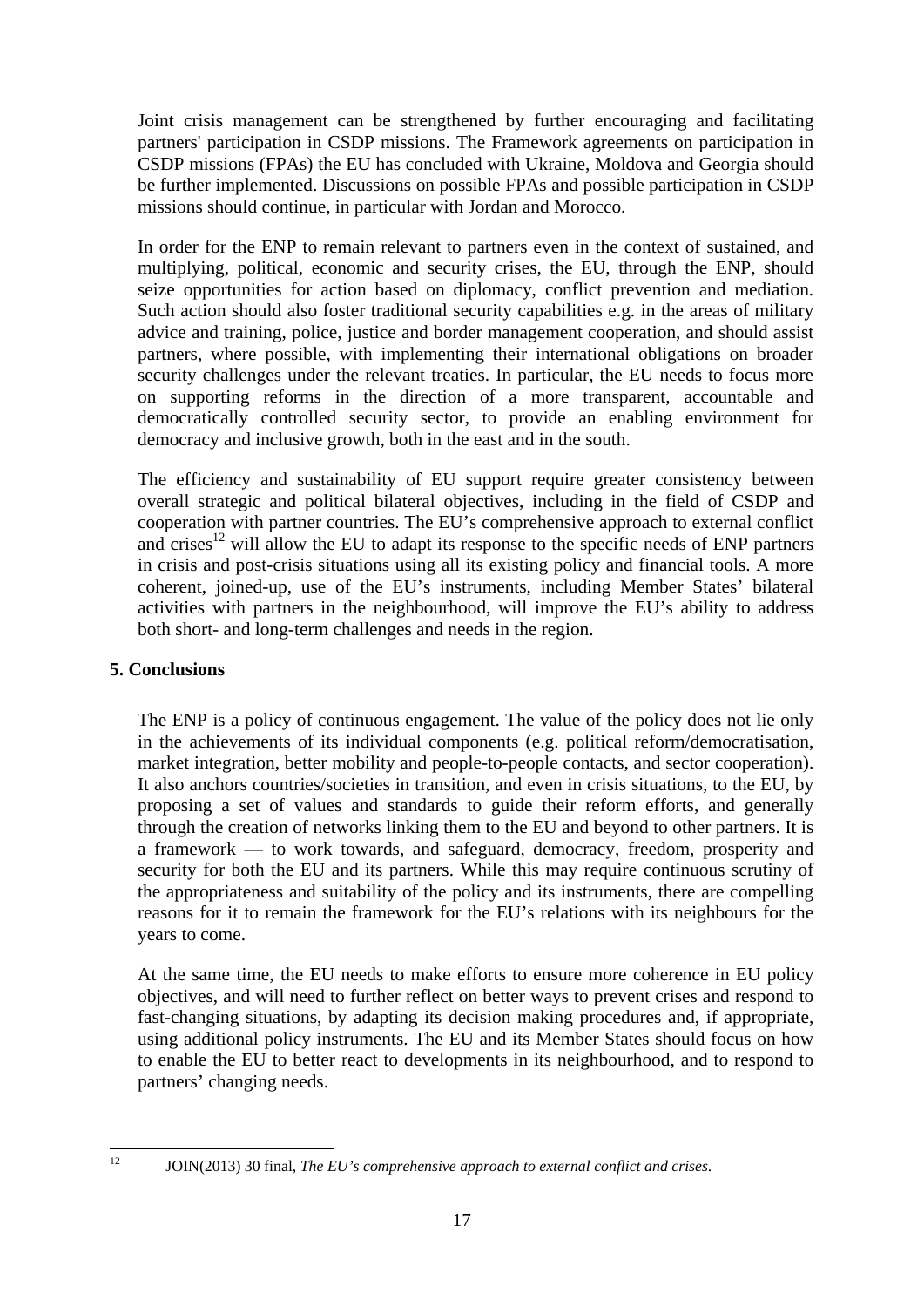Joint crisis management can be strengthened by further encouraging and facilitating partners' participation in CSDP missions. The Framework agreements on participation in CSDP missions (FPAs) the EU has concluded with Ukraine, Moldova and Georgia should be further implemented. Discussions on possible FPAs and possible participation in CSDP missions should continue, in particular with Jordan and Morocco.

In order for the ENP to remain relevant to partners even in the context of sustained, and multiplying, political, economic and security crises, the EU, through the ENP, should seize opportunities for action based on diplomacy, conflict prevention and mediation. Such action should also foster traditional security capabilities e.g. in the areas of military advice and training, police, justice and border management cooperation, and should assist partners, where possible, with implementing their international obligations on broader security challenges under the relevant treaties. In particular, the EU needs to focus more on supporting reforms in the direction of a more transparent, accountable and democratically controlled security sector, to provide an enabling environment for democracy and inclusive growth, both in the east and in the south.

The efficiency and sustainability of EU support require greater consistency between overall strategic and political bilateral objectives, including in the field of CSDP and cooperation with partner countries. The EU's comprehensive approach to external conflict and crises<sup>12</sup> will allow the EU to adapt its response to the specific needs of ENP partners in crisis and post-crisis situations using all its existing policy and financial tools. A more coherent, joined-up, use of the EU's instruments, including Member States' bilateral activities with partners in the neighbourhood, will improve the EU's ability to address both short- and long-term challenges and needs in the region.

### **5. Conclusions**

The ENP is a policy of continuous engagement. The value of the policy does not lie only in the achievements of its individual components (e.g. political reform/democratisation, market integration, better mobility and people-to-people contacts, and sector cooperation). It also anchors countries/societies in transition, and even in crisis situations, to the EU, by proposing a set of values and standards to guide their reform efforts, and generally through the creation of networks linking them to the EU and beyond to other partners. It is a framework — to work towards, and safeguard, democracy, freedom, prosperity and security for both the EU and its partners. While this may require continuous scrutiny of the appropriateness and suitability of the policy and its instruments, there are compelling reasons for it to remain the framework for the EU's relations with its neighbours for the years to come.

At the same time, the EU needs to make efforts to ensure more coherence in EU policy objectives, and will need to further reflect on better ways to prevent crises and respond to fast-changing situations, by adapting its decision making procedures and, if appropriate, using additional policy instruments. The EU and its Member States should focus on how to enable the EU to better react to developments in its neighbourhood, and to respond to partners' changing needs.

 $12$ 

<sup>12</sup> JOIN(2013) 30 final, *The EU's comprehensive approach to external conflict and crises*.